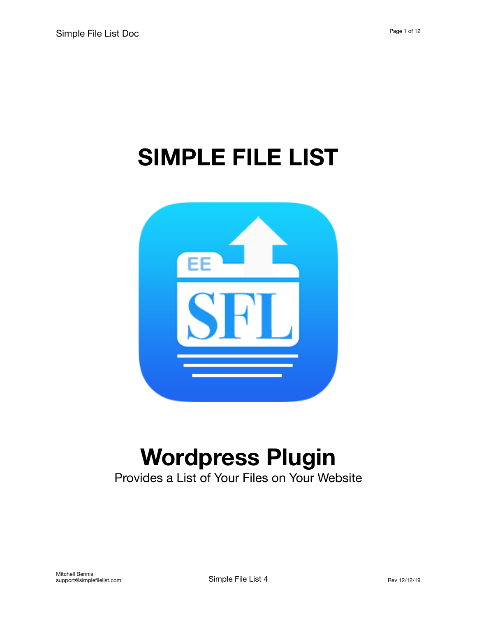# **SIMPLE FILE LIST**



# **Wordpress Plugin**

Provides a List of Your Files on Your Website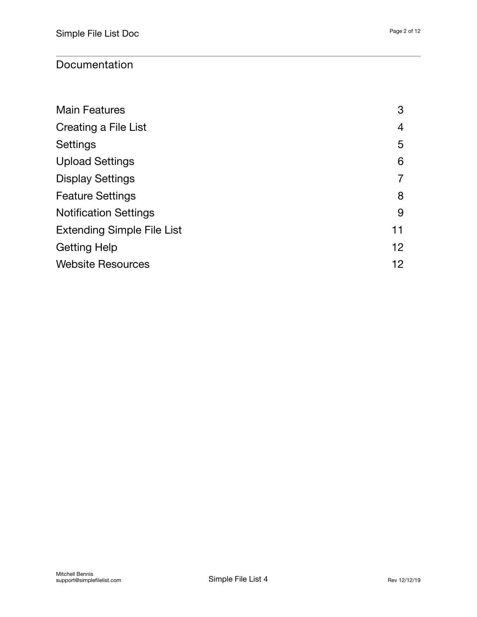#### Documentation

| <b>Main Features</b>              | 3  |
|-----------------------------------|----|
| Creating a File List              | 4  |
| <b>Settings</b>                   | 5  |
| <b>Upload Settings</b>            | 6  |
| <b>Display Settings</b>           | 7  |
| <b>Feature Settings</b>           | 8  |
| <b>Notification Settings</b>      | 9  |
| <b>Extending Simple File List</b> | 11 |
| <b>Getting Help</b>               | 12 |
| <b>Website Resources</b>          | 12 |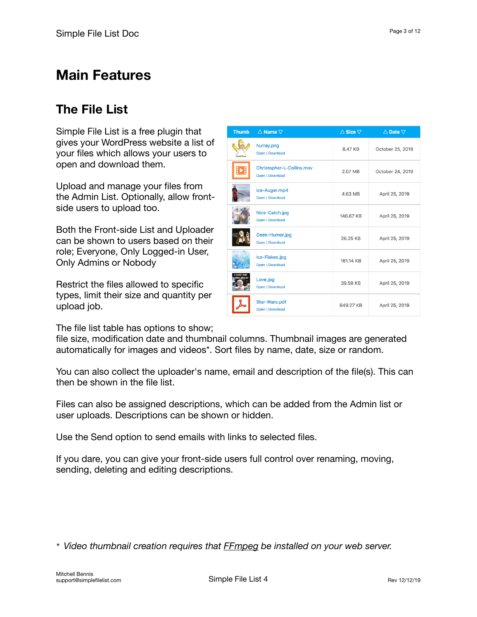## <span id="page-2-0"></span>**The File List**

Simple File List is a free plugin that gives your WordPress website a list of your files which allows your users to open and download them.

Upload and manage your files from the Admin List. Optionally, allow frontside users to upload too.

Both the Front-side List and Uploader can be shown to users based on their role; Everyone, Only Logged-in User, Only Admins or Nobody

Restrict the files allowed to specific types, limit their size and quantity per upload job.

The file list table has options to show;

file size, modification date and thumbnail columns. Thumbnail images are generated automatically for images and videos\*. Sort files by name, date, size or random.

You can also collect the uploader's name, email and description of the file(s). This can then be shown in the file list.

Files can also be assigned descriptions, which can be added from the Admin list or user uploads. Descriptions can be shown or hidden.

Use the Send option to send emails with links to selected files.

If you dare, you can give your front-side users full control over renaming, moving, sending, deleting and editing descriptions.

*\* Video thumbnail creation requires that [FFmpeg](https://www.ffmpeg.org/) be installed on your web server.* 

| <b>Thumb</b>    | $\triangle$ Name $\nabla$                           | $\triangle$ Size $\nabla$ | $\triangle$ Date $\nabla$ |
|-----------------|-----------------------------------------------------|---------------------------|---------------------------|
|                 | hurray.png<br>Open   Download                       | 8.47 KB                   | October 25, 2019          |
|                 | Christopher-L-Collins.mov<br><b>Open   Download</b> | 2.07 MB                   | October 24, 2019          |
|                 | Ice-Auger.mp4<br><b>Open   Download</b>             | 4.63 MB                   | April 25, 2019            |
|                 | Nice-Catch.jpg<br><b>Open   Download</b>            | 146.67 KB                 | April 25, 2019            |
|                 | Geek-Humor.jpg<br><b>Open   Download</b>            | 26.25 KB                  | April 25, 2019            |
|                 | Ice-Flakes.jpg<br>Open   Download                   | 161.14 KB                 | April 25, 2019            |
| <b>LOVE YOU</b> | Love.jpg<br>Open   Download                         | 39.59 KB                  | April 25, 2019            |
|                 | Star-Wars.pdf<br><b>Open   Download</b>             | 949.27 KB                 | April 25, 2019            |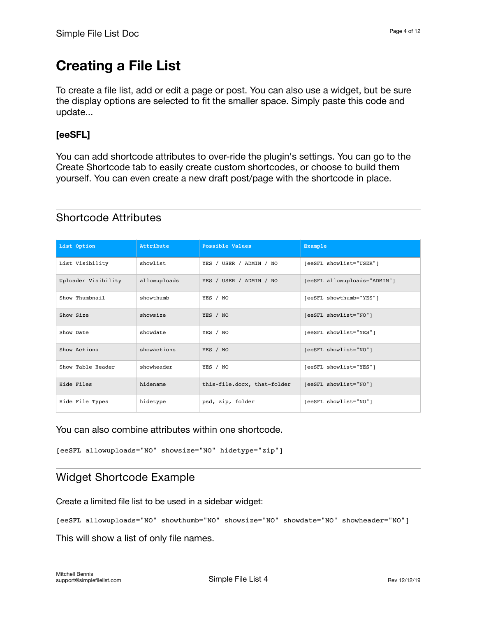# <span id="page-3-0"></span>**Creating a File List**

To create a file list, add or edit a page or post. You can also use a widget, but be sure the display options are selected to fit the smaller space. Simply paste this code and update...

#### **[eeSFL]**

You can add shortcode attributes to over-ride the plugin's settings. You can go to the Create Shortcode tab to easily create custom shortcodes, or choose to build them yourself. You can even create a new draft post/page with the shortcode in place.

| List Option         | Attribute    | Possible Values             | Example                      |
|---------------------|--------------|-----------------------------|------------------------------|
| List Visibility     | showlist     | YES / USER / ADMIN / NO     | [eeSFL showlist="USER"]      |
| Uploader Visibility | allowuploads | YES / USER / ADMIN / NO     | [eeSFL allowuploads="ADMIN"] |
| Show Thumbnail      | showthumb    | YES / NO                    | [eeSFL showthumb="YES"]      |
| Show Size           | showsize     | YES / NO                    | [eeSFL showlist="NO"]        |
| Show Date           | showdate     | YES / NO                    | [eeSFL showlist="YES"]       |
| Show Actions        | showactions  | YES / NO                    | [eeSFL showlist="NO"]        |
| Show Table Header   | showheader   | YES / NO                    | [eeSFL showlist="YES"]       |
| Hide Files          | hidename     | this-file.docx, that-folder | [eeSFL showlist="NO"]        |
| Hide File Types     | hidetype     | psd, zip, folder            | [eeSFL showlist="NO"]        |

#### Shortcode Attributes

You can also combine attributes within one shortcode.

[eeSFL allowuploads="NO" showsize="NO" hidetype="zip"]

#### Widget Shortcode Example

Create a limited file list to be used in a sidebar widget:

[eeSFL allowuploads="NO" showthumb="NO" showsize="NO" showdate="NO" showheader="NO"]

This will show a list of only file names.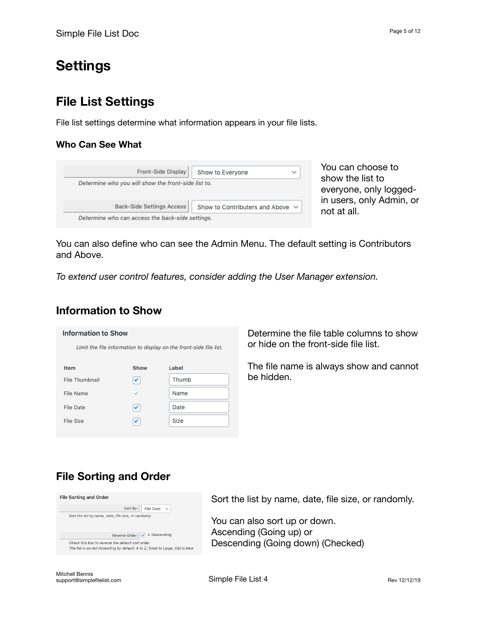# <span id="page-4-0"></span>**Settings**

## **File List Settings**

File list settings determine what information appears in your file lists.

#### **Who Can See What**

| Front-Side Display                                  | Show to Everyone                      | $\check{~}$ |
|-----------------------------------------------------|---------------------------------------|-------------|
| Determine who you will show the front-side list to. |                                       |             |
|                                                     |                                       |             |
|                                                     |                                       |             |
| <b>Back-Side Settings Access</b>                    | Show to Contributers and Above $\vee$ |             |

You can choose to show the list to everyone, only loggedin users, only Admin, or not at all.

You can also define who can see the Admin Menu. The default setting is Contributors and Above.

*To extend user control features, consider adding the User Manager extension.* 

#### **Information to Show**

#### **Information to Show**

Limit the file information to display on the front-side file list.

| Item             | Show | Label |
|------------------|------|-------|
| File Thumbnail   | ✓    | Thumb |
| File Name        |      | Name  |
| <b>File Date</b> | ✓    | Date  |
| File Size        | ✓    | Size  |
|                  |      |       |

Determine the file table columns to show or hide on the front-side file list.

The file name is always show and cannot be hidden.

### **File Sorting and Order**

| <b>File Sorting and Order</b>                                                                                                    |
|----------------------------------------------------------------------------------------------------------------------------------|
| Sort By:<br>File Date<br>$\checkmark$                                                                                            |
| Sort the list by name, date, file size, or randomly.                                                                             |
|                                                                                                                                  |
| Reverse Order: $\sqrt{\phantom{a}}\Downarrow$ Descending                                                                         |
| Check this box to reverse the default sort order.<br>The list is sorted Ascending by default: A to Z, Small to Large, Old to New |

Sort the list by name, date, file size, or randomly.

You can also sort up or down. Ascending (Going up) or Descending (Going down) (Checked)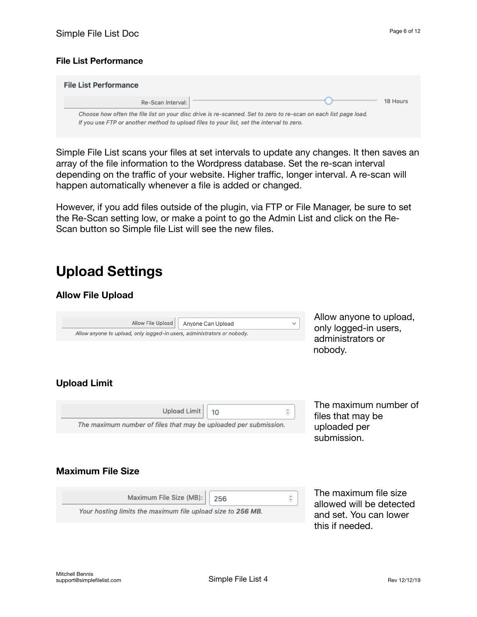#### **File List Performance**

| <b>File List Performance</b> |                                                                                                                                                                                                             |          |
|------------------------------|-------------------------------------------------------------------------------------------------------------------------------------------------------------------------------------------------------------|----------|
| Re-Scan Interval:            |                                                                                                                                                                                                             | 18 Hours |
|                              | Choose how often the file list on your disc drive is re-scanned. Set to zero to re-scan on each list page load.<br>If you use FTP or another method to upload files to your list, set the interval to zero. |          |

Simple File List scans your files at set intervals to update any changes. It then saves an array of the file information to the Wordpress database. Set the re-scan interval depending on the traffic of your website. Higher traffic, longer interval. A re-scan will happen automatically whenever a file is added or changed.

However, if you add files outside of the plugin, via FTP or File Manager, be sure to set the Re-Scan setting low, or make a point to go the Admin List and click on the Re-Scan button so Simple file List will see the new files.

## <span id="page-5-0"></span>**Upload Settings**

#### **Allow File Upload**



Allow anyone to upload, only logged-in users, administrators or nobody.

#### **Upload Limit**

| Upload Limit   10 | $\mathbf{A}$                                                     |
|-------------------|------------------------------------------------------------------|
|                   | The maximum number of files that may be uploaded per submission. |

The maximum number of files that may be uploaded per submission.

#### **Maximum File Size**

| Maximum File Size (MB):   256                               | $\stackrel{\scriptscriptstyle\wedge}{\scriptscriptstyle\vee}$ |
|-------------------------------------------------------------|---------------------------------------------------------------|
| Your hosting limits the maximum file upload size to 256 MB. |                                                               |

The maximum file size allowed will be detected and set. You can lower this if needed.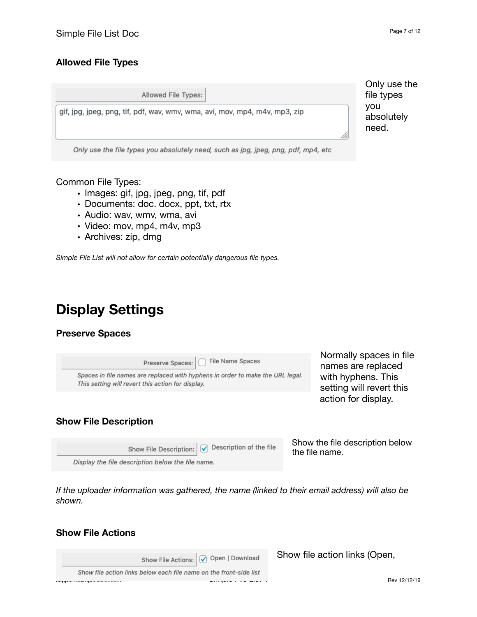#### **Allowed File Types**

| Allowed File Types:                                                                | Only use<br>file types     |
|------------------------------------------------------------------------------------|----------------------------|
| gif, jpg, jpeg, png, tif, pdf, wav, wmv, wma, avi, mov, mp4, m4v, mp3, zip         | vou<br>absolutely<br>need. |
| Only use the file types you absolutely need, such as jpg, jpeg, png, pdf, mp4, etc |                            |

Common File Types:

- Images: gif, jpg, jpeg, png, tif, pdf
- Documents: doc. docx, ppt, txt, rtx
- Audio: wav, wmv, wma, avi
- Video: mov, mp4, m4v, mp3

Display the file description below the file name.

• Archives: zip, dmg

*Simple File List will not allow for certain potentially dangerous file types.*

# <span id="page-6-0"></span>**Display Settings**

#### **Preserve Spaces**

| File Name Spaces<br>Preserve Spaces:<br>Spaces in file names are replaced with hyphens in order to make the URL legal.<br>This setting will revert this action for display. | Normally spaces in file<br>names are replaced<br>with hyphens. This<br>setting will revert this |
|-----------------------------------------------------------------------------------------------------------------------------------------------------------------------------|-------------------------------------------------------------------------------------------------|
| <b>Show File Description</b>                                                                                                                                                | action for display.                                                                             |
| Description of the file<br>Show File Description:                                                                                                                           | Show the file description below<br>the file name.                                               |

*If the uploader information was gathered, the name (linked to their email address) will also be shown.* 

#### **Show File Actions**

|                                                                    | Show File Actions: O Open   Download | Show file action links (Open, |
|--------------------------------------------------------------------|--------------------------------------|-------------------------------|
| Show file action links below each file name on the front-side list |                                      |                               |
| וווטט.ופטוווקוווסוווסטי                                            |                                      | Rev 12/12/19                  |

the file types absolutely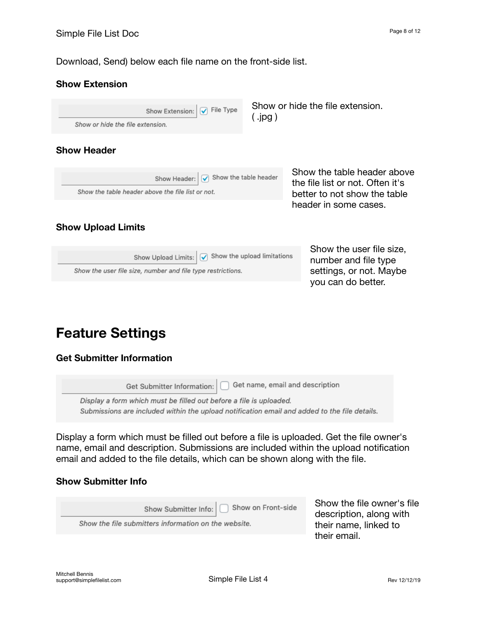Download, Send) below each file name on the front-side list.

#### **Show Extension**

Show or hide the file extension.  $\sqrt{\phantom{a}}$  File Type Show Extension:  $($  .jpg  $)$ Show or hide the file extension. **Show Header** Show the table header above  $\sqrt{\phantom{a}}$  Show the table header Show Header: the file list or not. Often it's Show the table header above the file list or not. better to not show the table header in some cases.

#### **Show Upload Limits**

Show the user file size, Show Upload Limits:  $\boxed{\checkmark}$  Show the upload limitations number and file type settings, or not. Maybe Show the user file size, number and file type restrictions. you can do better.

## <span id="page-7-0"></span>**Feature Settings**

#### **Get Submitter Information**

Get name, email and description Get Submitter Information: Display a form which must be filled out before a file is uploaded. Submissions are included within the upload notification email and added to the file details.

Display a form which must be filled out before a file is uploaded. Get the file owner's name, email and description. Submissions are included within the upload notification email and added to the file details, which can be shown along with the file.

#### **Show Submitter Info**

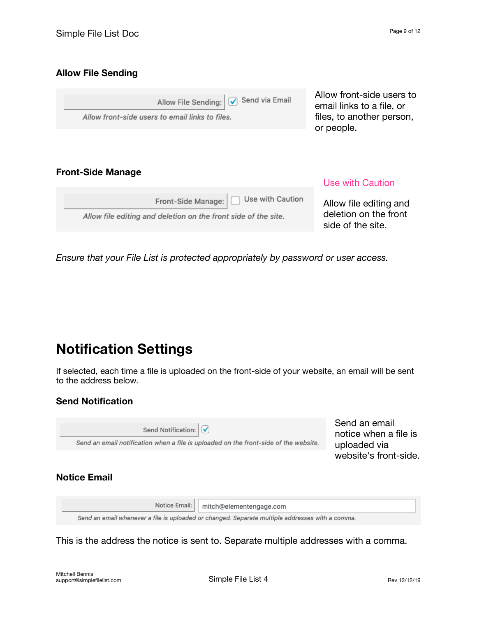#### **Allow File Sending**

| Allow File Sending: V Send via Email<br>Allow front-side users to email links to files. | Allow front-side users to<br>email links to a file, or<br>files, to another person,<br>or people. |
|-----------------------------------------------------------------------------------------|---------------------------------------------------------------------------------------------------|
|                                                                                         |                                                                                                   |

#### **Front-Side Manage**

| Front-Side Manage:     Use with Caution                        |
|----------------------------------------------------------------|
| Allow file editing and deletion on the front side of the site. |

#### Use with Caution

Allow file editing and deletion on the front side of the site.

*Ensure that your File List is protected appropriately by password or user access.* 

## <span id="page-8-0"></span>**Notification Settings**

If selected, each time a file is uploaded on the front-side of your website, an email will be sent to the address below.

#### **Send Notification**

| Send Notification: V<br>Send an email notification when a file is uploaded on the front-side of the website. | Send an email<br>notice when a file is<br>uploaded via |  |
|--------------------------------------------------------------------------------------------------------------|--------------------------------------------------------|--|
|                                                                                                              | website's front-side.                                  |  |
| <b>Notice Email</b>                                                                                          |                                                        |  |

|                                                                                                 | Notice Email:   mitch@elementengage.com |  |  |
|-------------------------------------------------------------------------------------------------|-----------------------------------------|--|--|
| Send an email whenever a file is uploaded or changed. Separate multiple addresses with a comma. |                                         |  |  |

This is the address the notice is sent to. Separate multiple addresses with a comma.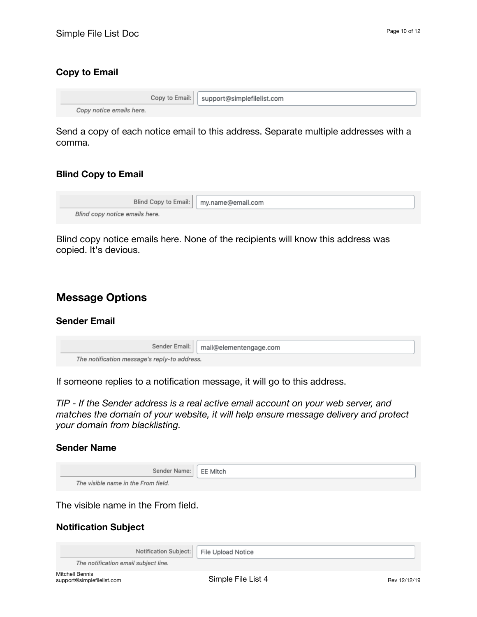#### **Copy to Email**

|                          | Copy to Email:   support@simplefilelist.com |  |
|--------------------------|---------------------------------------------|--|
| Copy notice emails here. |                                             |  |

Send a copy of each notice email to this address. Separate multiple addresses with a comma.

#### **Blind Copy to Email**

|                                | Blind Copy to Email:   my.name@email.com |
|--------------------------------|------------------------------------------|
| Blind copy notice emails here. |                                          |

Blind copy notice emails here. None of the recipients will know this address was copied. It's devious.

#### **Message Options**

#### **Sender Email**

|                                              | Sender Email:   mail@elementengage.com |  |  |
|----------------------------------------------|----------------------------------------|--|--|
| The notification message's reply-to address. |                                        |  |  |

If someone replies to a notification message, it will go to this address.

*TIP - If the Sender address is a real active email account on your web server, and matches the domain of your website, it will help ensure message delivery and protect your domain from blacklisting.* 

#### **Sender Name**

| Sender Name:   EE Mitch             |  |
|-------------------------------------|--|
| The visible name in the From field. |  |

The visible name in the From field.

#### **Notification Subject**

|                                               | Notification Subject:   File Upload Notice |              |
|-----------------------------------------------|--------------------------------------------|--------------|
| The notification email subject line.          |                                            |              |
| Mitchell Bennis<br>support@simplefilelist.com | Simple File List 4                         | Rev 12/12/19 |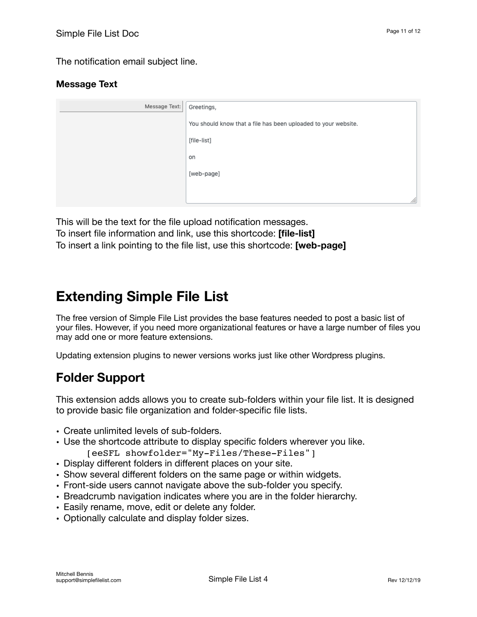The notification email subject line.

#### **Message Text**

| Message Text: | Greetings,                                                     |
|---------------|----------------------------------------------------------------|
|               | You should know that a file has been uploaded to your website. |
|               | [file-list]                                                    |
|               | on                                                             |
|               | [web-page]                                                     |
|               |                                                                |
|               | ///.                                                           |

This will be the text for the file upload notification messages. To insert file information and link, use this shortcode: **[file-list]** To insert a link pointing to the file list, use this shortcode: **[web-page]**

# <span id="page-10-0"></span>**Extending Simple File List**

The free version of Simple File List provides the base features needed to post a basic list of your files. However, if you need more organizational features or have a large number of files you may add one or more feature extensions.

Updating extension plugins to newer versions works just like other Wordpress plugins.

### **Folder Support**

This extension adds allows you to create sub-folders within your file list. It is designed to provide basic file organization and folder-specific file lists.

- Create unlimited levels of sub-folders.
- Use the shortcode attribute to display specific folders wherever you like. [eeSFL showfolder="My-Files/These-Files"]
- Display different folders in different places on your site.
- Show several different folders on the same page or within widgets.
- Front-side users cannot navigate above the sub-folder you specify.
- Breadcrumb navigation indicates where you are in the folder hierarchy.
- Easily rename, move, edit or delete any folder.
- Optionally calculate and display folder sizes.